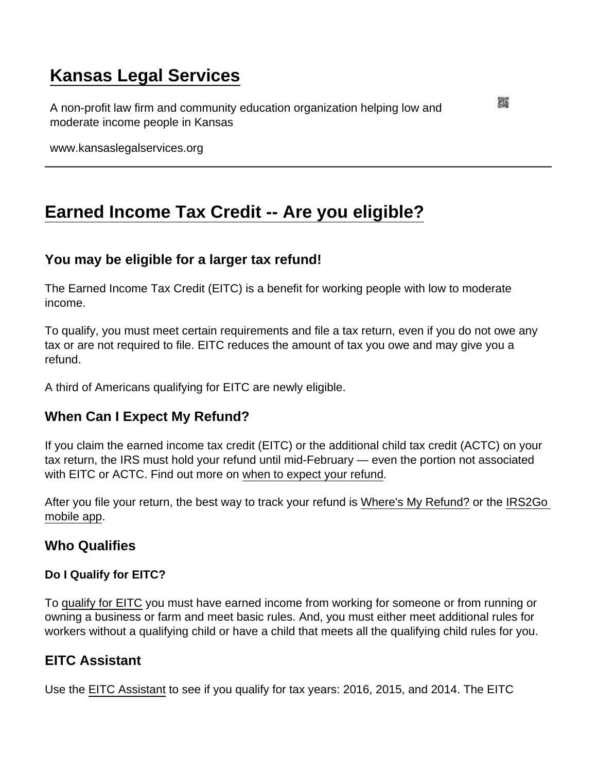# [Kansas Legal Services](https://www.kansaslegalservices.org/)

A non-profit law firm and community education organization helping low and moderate income people in Kansas

www.kansaslegalservices.org

## [Earned Income Tax Credit -- Are you eligible?](https://www.kansaslegalservices.org/node/2165/earned-income-tax-credit-are-you-eligible)

## You may be eligible for a larger tax refund!

The Earned Income Tax Credit (EITC) is a benefit for working people with low to moderate income.

To qualify, you must meet certain requirements and file a tax return, even if you do not owe any tax or are not required to file. EITC reduces the amount of tax you owe and may give you a refund.

A third of Americans qualifying for EITC are newly eligible.

## When Can I Expect My Refund?

If you claim the earned income tax credit (EITC) or the additional child tax credit (ACTC) on your tax return, the IRS must hold your refund until mid-February — even the portion not associated with EITC or ACTC. Find out more on [when to expect your refund](https://www.irs.gov/individuals/refund-timing).

After you file your return, the best way to track your refund is [Where's My Refund?](https://www.irs.gov/refunds) or the [IRS2Go](https://www.irs.gov/newsroom/irs2goapp)  [mobile app.](https://www.irs.gov/newsroom/irs2goapp)

#### Who Qualifies

Do I Qualify for EITC?

To [qualify for EITC](https://www.irs.gov/credits-deductions/individuals/earned-income-tax-credit/do-i-qualify-for-earned-income-tax-credit-eitc) you must have earned income from working for someone or from running or owning a business or farm and meet basic rules. And, you must either meet additional rules for workers without a qualifying child or have a child that meets all the qualifying child rules for you.

#### EITC Assistant

Use the [EITC Assistant](https://www.irs.gov/credits-deductions/individuals/earned-income-tax-credit/use-the-eitc-assistant) to see if you qualify for tax years: 2016, 2015, and 2014. The EITC